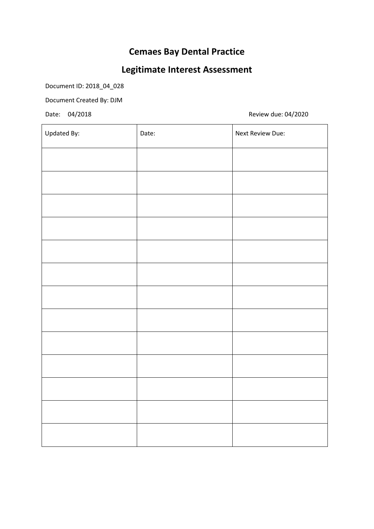### **Cemaes Bay Dental Practice**

## **Legitimate Interest Assessment**

Document ID: 2018\_04\_028

Document Created By: DJM

Date: 04/2018 Review due: 04/2020

| Updated By: | Date: | Next Review Due: |
|-------------|-------|------------------|
|             |       |                  |
|             |       |                  |
|             |       |                  |
|             |       |                  |
|             |       |                  |
|             |       |                  |
|             |       |                  |
|             |       |                  |
|             |       |                  |
|             |       |                  |
|             |       |                  |
|             |       |                  |
|             |       |                  |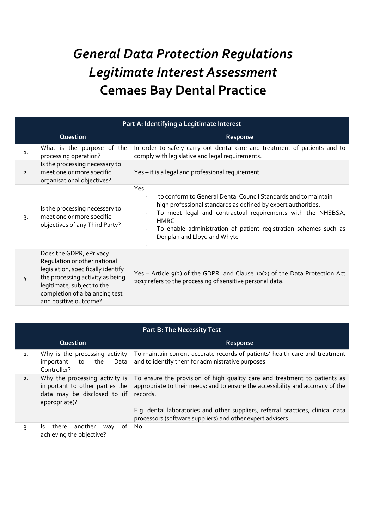# *General Data Protection Regulations Legitimate Interest Assessment* **Cemaes Bay Dental Practice**

| Part A: Identifying a Legitimate Interest |                                                                                                                                                                                                                            |                                                                                                                                                                                                                                                                                                                         |  |
|-------------------------------------------|----------------------------------------------------------------------------------------------------------------------------------------------------------------------------------------------------------------------------|-------------------------------------------------------------------------------------------------------------------------------------------------------------------------------------------------------------------------------------------------------------------------------------------------------------------------|--|
| Question                                  |                                                                                                                                                                                                                            | Response                                                                                                                                                                                                                                                                                                                |  |
| 1.                                        | What is the purpose of the<br>processing operation?                                                                                                                                                                        | In order to safely carry out dental care and treatment of patients and to<br>comply with legislative and legal requirements.                                                                                                                                                                                            |  |
| 2.                                        | Is the processing necessary to<br>meet one or more specific<br>organisational objectives?                                                                                                                                  | Yes - it is a legal and professional requirement                                                                                                                                                                                                                                                                        |  |
| $\overline{3}$                            | Is the processing necessary to<br>meet one or more specific<br>objectives of any Third Party?                                                                                                                              | Yes<br>to conform to General Dental Council Standards and to maintain<br>high professional standards as defined by expert authorities.<br>To meet legal and contractual requirements with the NHSBSA,<br><b>HMRC</b><br>To enable administration of patient registration schemes such as<br>Denplan and Lloyd and Whyte |  |
| 4.                                        | Does the GDPR, ePrivacy<br>Regulation or other national<br>legislation, specifically identify<br>the processing activity as being<br>legitimate, subject to the<br>completion of a balancing test<br>and positive outcome? | Yes - Article 9(2) of the GDPR and Clause 10(2) of the Data Protection Act<br>2017 refers to the processing of sensitive personal data.                                                                                                                                                                                 |  |

| <b>Part B: The Necessity Test</b> |                                                                                                                   |                                                                                                                                                                          |  |
|-----------------------------------|-------------------------------------------------------------------------------------------------------------------|--------------------------------------------------------------------------------------------------------------------------------------------------------------------------|--|
|                                   | Question                                                                                                          | <b>Response</b>                                                                                                                                                          |  |
| $\mathbf{1}$ .                    | Why is the processing activity<br>the<br>Data<br>important<br>to<br>Controller?                                   | To maintain current accurate records of patients' health care and treatment<br>and to identify them for administrative purposes                                          |  |
| 2.                                | Why the processing activity is<br>important to other parties the<br>data may be disclosed to (if<br>appropriate)? | To ensure the provision of high quality care and treatment to patients as<br>appropriate to their needs; and to ensure the accessibility and accuracy of the<br>records. |  |
|                                   |                                                                                                                   | E.g. dental laboratories and other suppliers, referral practices, clinical data<br>processors (software suppliers) and other expert advisers                             |  |
| 3.                                | of<br>another<br>there<br>Is.<br>way<br>achieving the objective?                                                  | No.                                                                                                                                                                      |  |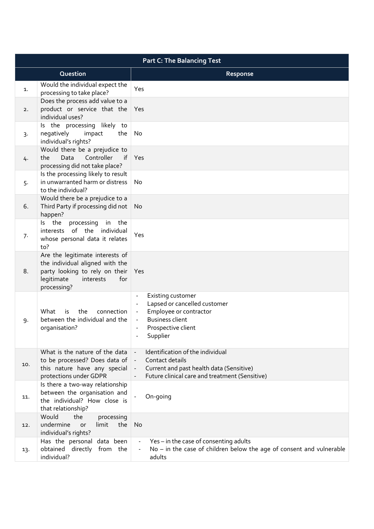| <b>Part C: The Balancing Test</b> |                                                                                                                                                           |                                                                                                                                                   |
|-----------------------------------|-----------------------------------------------------------------------------------------------------------------------------------------------------------|---------------------------------------------------------------------------------------------------------------------------------------------------|
|                                   | Question                                                                                                                                                  | Response                                                                                                                                          |
| 1.                                | Would the individual expect the<br>processing to take place?                                                                                              | Yes                                                                                                                                               |
| 2.                                | Does the process add value to a<br>product or service that the<br>individual uses?                                                                        | Yes                                                                                                                                               |
| 3.                                | Is the processing likely to<br>negatively<br>the<br>impact<br>individual's rights?                                                                        | No                                                                                                                                                |
| 4.                                | Would there be a prejudice to<br>Data<br>Controller<br>the<br>processing did not take place?                                                              | if Yes                                                                                                                                            |
| 5.                                | Is the processing likely to result<br>in unwarranted harm or distress<br>to the individual?                                                               | No                                                                                                                                                |
| 6.                                | Would there be a prejudice to a<br>Third Party if processing did not<br>happen?                                                                           | <b>No</b>                                                                                                                                         |
| 7.                                | Is the<br>processing<br>in the<br>interests of the individual<br>whose personal data it relates<br>to?                                                    | Yes                                                                                                                                               |
| 8.                                | Are the legitimate interests of<br>the individual aligned with the<br>party looking to rely on their Yes<br>legitimate<br>for<br>interests<br>processing? |                                                                                                                                                   |
| 9.                                | the<br>What<br>is<br>connection<br>between the individual and the<br>organisation?                                                                        | Existing customer<br>Lapsed or cancelled customer<br>Employee or contractor<br><b>Business client</b><br>Prospective client<br>Supplier           |
| 10.                               | What is the nature of the data<br>to be processed? Does data of<br>this nature have any special<br>protections under GDPR                                 | Identification of the individual<br>Contact details<br>Current and past health data (Sensitive)<br>Future clinical care and treatment (Sensitive) |
| 11.                               | Is there a two-way relationship<br>between the organisation and<br>the individual? How close is<br>that relationship?                                     | On-going                                                                                                                                          |
| 12.                               | Would<br>the<br>processing<br>undermine<br>limit<br>the<br><b>or</b><br>individual's rights?                                                              | No                                                                                                                                                |
| 13.                               | Has the personal data been<br>obtained directly from the<br>individual?                                                                                   | Yes - in the case of consenting adults<br>$No$ – in the case of children below the age of consent and vulnerable<br>adults                        |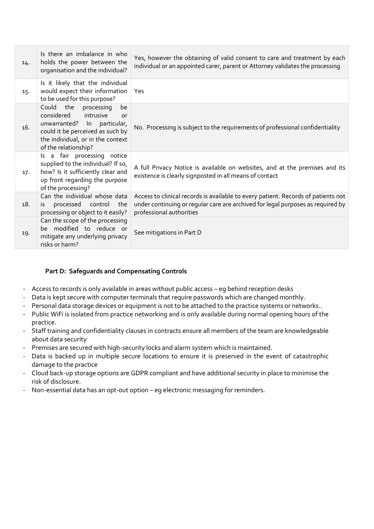| 14. | Is there an imbalance in who<br>holds the power between the<br>organisation and the individual?                                                                                                   | Yes, however the obtaining of valid consent to care and treatment by each<br>individual or an appointed carer, parent or Attorney validates the processing                                       |
|-----|---------------------------------------------------------------------------------------------------------------------------------------------------------------------------------------------------|--------------------------------------------------------------------------------------------------------------------------------------------------------------------------------------------------|
| 15. | Is it likely that the individual<br>would expect their information<br>to be used for this purpose?                                                                                                | Yes                                                                                                                                                                                              |
| 16. | Could the<br>processing<br>be<br>considered<br>intrusive<br>or<br>unwarranted? In<br>particular,<br>could it be perceived as such by<br>the individual, or in the context<br>of the relationship? | No. Processing is subject to the requirements of professional confidentiality                                                                                                                    |
| 17. | Is a fair processing notice<br>supplied to the individual? If so,<br>how? Is it sufficiently clear and<br>up front regarding the purpose<br>of the processing?                                    | A full Privacy Notice is available on websites, and at the premises and its<br>existence is clearly signposted in all means of contact                                                           |
| 18. | Can the individual whose data<br>processed control<br>the<br>is.<br>processing or object to it easily?                                                                                            | Access to clinical records is available to every patient. Records of patients not<br>under continuing or regular care are archived for legal purposes as required by<br>professional authorities |
| 19. | Can the scope of the processing<br>be modified to reduce or<br>mitigate any underlying privacy<br>risks or harm?                                                                                  | See mitigations in Part D                                                                                                                                                                        |

#### **Part D: Safeguards and Compensating Controls**

- Access to records is only available in areas without public access eg behind reception desks
- Data is kept secure with computer terminals that require passwords which are changed monthly.
- Personal data storage devices or equipment is not to be attached to the practice systems or networks..
- Public WiFi is isolated from practice networking and is only available during normal opening hours of the practice.
- Staff training and confidentiality clauses in contracts ensure all members of the team are knowledgeable about data security
- Premises are secured with high-security locks and alarm system which is maintained.
- Data is backed up in multiple secure locations to ensure it is preserved in the event of catastrophic damage to the practice
- Cloud back-up storage options are GDPR compliant and have additional security in place to minimise the risk of disclosure.
- Non-essential data has an opt-out option eg electronic messaging for reminders.